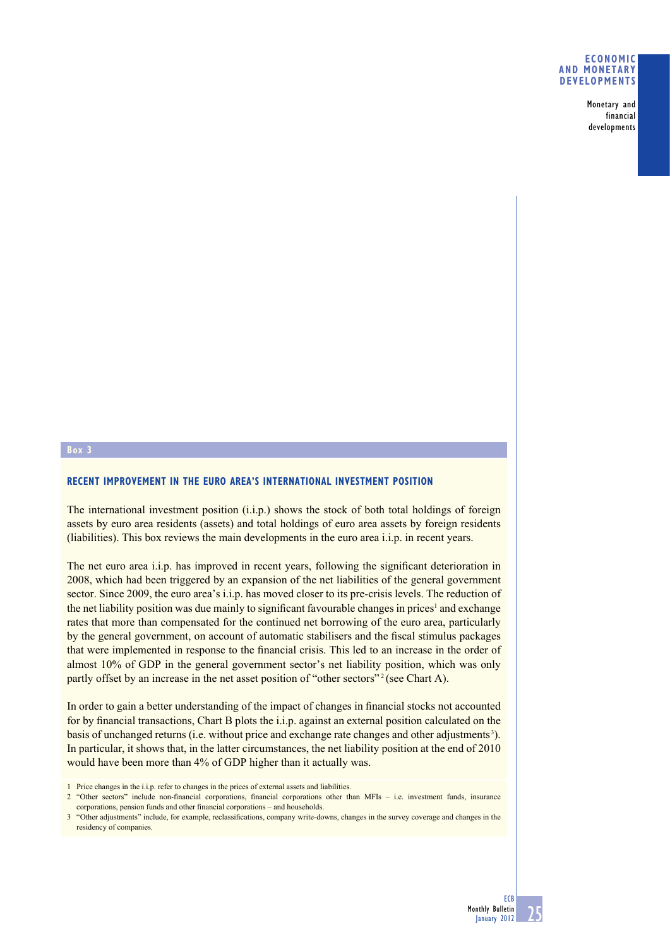## **ECONOMIC AND MONETARY DEVELOPMENTS**

Monetary and financial developments

## **Box 3**

## **RECENT IMPROVEMENT IN THE EURO AREA'S INTERNATIONAL INVESTMENT POSITION**

The international investment position (i.i.p.) shows the stock of both total holdings of foreign assets by euro area residents (assets) and total holdings of euro area assets by foreign residents (liabilities). This box reviews the main developments in the euro area i.i.p. in recent years.

The net euro area i.i.p. has improved in recent years, following the significant deterioration in 2008, which had been triggered by an expansion of the net liabilities of the general government sector. Since 2009, the euro area's i.i.p. has moved closer to its pre-crisis levels. The reduction of the net liability position was due mainly to significant favourable changes in prices<sup>1</sup> and exchange rates that more than compensated for the continued net borrowing of the euro area, particularly by the general government, on account of automatic stabilisers and the fiscal stimulus packages that were implemented in response to the financial crisis. This led to an increase in the order of almost 10% of GDP in the general government sector's net liability position, which was only partly offset by an increase in the net asset position of "other sectors"<sup>2</sup> (see Chart A).

In order to gain a better understanding of the impact of changes in financial stocks not accounted for by financial transactions, Chart B plots the i.i.p. against an external position calculated on the basis of unchanged returns (i.e. without price and exchange rate changes and other adjustments 3). In particular, it shows that, in the latter circumstances, the net liability position at the end of 2010 would have been more than 4% of GDP higher than it actually was.

<sup>1</sup> Price changes in the i.i.p. refer to changes in the prices of external assets and liabilities.

 $2$  "Other sectors" include non-financial corporations, financial corporations other than MFIs – i.e. investment funds, insurance corporations, pension funds and other financial corporations – and households.

<sup>3 &</sup>quot;Other adjustments" include, for example, reclassifications, company write-downs, changes in the survey coverage and changes in the residency of companies.